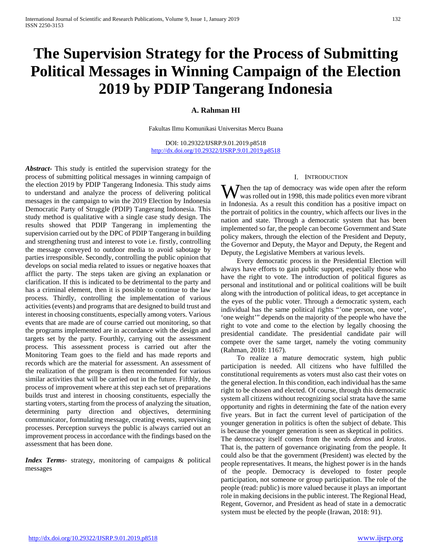# **The Supervision Strategy for the Process of Submitting Political Messages in Winning Campaign of the Election 2019 by PDIP Tangerang Indonesia**

## **A. Rahman HI**

Fakultas Ilmu Komunikasi Universitas Mercu Buana

DOI: 10.29322/IJSRP.9.01.2019.p8518 <http://dx.doi.org/10.29322/IJSRP.9.01.2019.p8518>

*Abstract***-** This study is entitled the supervision strategy for the process of submitting political messages in winning campaign of the election 2019 by PDIP Tangerang Indonesia. This study aims to understand and analyze the process of delivering political messages in the campaign to win the 2019 Election by Indonesia Democratic Party of Struggle (PDIP) Tangerang Indonesia. This study method is qualitative with a single case study design. The results showed that PDIP Tangerang in implementing the supervision carried out by the DPC of PDIP Tangerang in building and strengthening trust and interest to vote i.e. firstly, controlling the message conveyed to outdoor media to avoid sabotage by parties irresponsible. Secondly, controlling the public opinion that develops on social media related to issues or negative hoaxes that afflict the party. The steps taken are giving an explanation or clarification. If this is indicated to be detrimental to the party and has a criminal element, then it is possible to continue to the law process. Thirdly, controlling the implementation of various activities (events) and programs that are designed to build trust and interest in choosing constituents, especially among voters. Various events that are made are of course carried out monitoring, so that the programs implemented are in accordance with the design and targets set by the party. Fourthly, carrying out the assessment process. This assessment process is carried out after the Monitoring Team goes to the field and has made reports and records which are the material for assessment. An assessment of the realization of the program is then recommended for various similar activities that will be carried out in the future. Fifthly, the process of improvement where at this step each set of preparations builds trust and interest in choosing constituents, especially the starting voters, starting from the process of analyzing the situation, determining party direction and objectives, determining communicator, formulating message, creating events, supervising processes. Perception surveys the public is always carried out an improvement process in accordance with the findings based on the assessment that has been done.

*Index Terms*- strategy, monitoring of campaigns & political messages

#### I. INTRODUCTION

hen the tap of democracy was wide open after the reform When the tap of democracy was wide open after the reform<br>was rolled out in 1998, this made politics even more vibrant in Indonesia. As a result this condition has a positive impact on the portrait of politics in the country, which affects our lives in the nation and state. Through a democratic system that has been implemented so far, the people can become Government and State policy makers, through the election of the President and Deputy, the Governor and Deputy, the Mayor and Deputy, the Regent and Deputy, the Legislative Members at various levels.

 Every democratic process in the Presidential Election will always have efforts to gain public support, especially those who have the right to vote. The introduction of political figures as personal and institutional and or political coalitions will be built along with the introduction of political ideas, to get acceptance in the eyes of the public voter. Through a democratic system, each individual has the same political rights "'one person, one vote', 'one weight'" depends on the majority of the people who have the right to vote and come to the election by legally choosing the presidential candidate. The presidential candidate pair will compete over the same target, namely the voting community (Rahman, 2018: 1167).

 To realize a mature democratic system, high public participation is needed. All citizens who have fulfilled the constitutional requirements as voters must also cast their votes on the general election. In this condition, each individual has the same right to be chosen and elected. Of course, through this democratic system all citizens without recognizing social strata have the same opportunity and rights in determining the fate of the nation every five years. But in fact the current level of participation of the younger generation in politics is often the subject of debate. This is because the younger generation is seen as skeptical in politics. The democracy itself comes from the words *demos* and *kratos*. That is, the pattern of governance originating from the people. It could also be that the government (President) was elected by the people representatives. It means, the highest power is in the hands of the people. Democracy is developed to foster people participation, not someone or group participation. The role of the people (read: public) is more valued because it plays an important role in making decisions in the public interest. The Regional Head,

Regent, Governor, and President as head of state in a democratic

system must be elected by the people (Irawan, 2018: 91).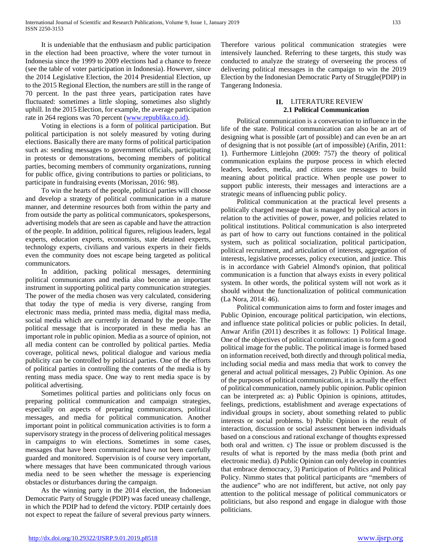It is undeniable that the enthusiasm and public participation in the election had been proactive, where the voter turnout in Indonesia since the 1999 to 2009 elections had a chance to freeze (see the table of voter participation in Indonesia). However, since the 2014 Legislative Election, the 2014 Presidential Election, up to the 2015 Regional Election, the numbers are still in the range of 70 percent. In the past three years, participation rates have fluctuated: sometimes a little sloping, sometimes also slightly uphill. In the 2015 Election, for example, the average participation rate in 264 regions was 70 percent [\(www.republika.co.id\).](http://www.republika.co.id)/)

 Voting in elections is a form of political participation. But political participation is not solely measured by voting during elections. Basically there are many forms of political participation such as: sending messages to government officials, participating in protests or demonstrations, becoming members of political parties, becoming members of community organizations, running for public office, giving contributions to parties or politicians, to participate in fundraising events (Morissan, 2016: 98).

 To win the hearts of the people, political parties will choose and develop a strategy of political communication in a mature manner, and determine resources both from within the party and from outside the party as political communicators, spokespersons, advertising models that are seen as capable and have the attraction of the people. In addition, political figures, religious leaders, legal experts, education experts, economists, state detained experts, technology experts, civilians and various experts in their fields even the community does not escape being targeted as political communicators.

 In addition, packing political messages, determining political communicators and media also become an important instrument in supporting political party communication strategies. The power of the media chosen was very calculated, considering that today the type of media is very diverse, ranging from electronic mass media, printed mass media, digital mass media, social media which are currently in demand by the people. The political message that is incorporated in these media has an important role in public opinion. Media as a source of opinion, not all media content can be controlled by political parties. Media coverage, political news, political dialogue and various media publicity can be controlled by political parties. One of the efforts of political parties in controlling the contents of the media is by renting mass media space. One way to rent media space is by political advertising.

 Sometimes political parties and politicians only focus on preparing political communication and campaign strategies, especially on aspects of preparing communicators, political messages, and media for political communication. Another important point in political communication activities is to form a supervisory strategy in the process of delivering political messages in campaigns to win elections. Sometimes in some cases, messages that have been communicated have not been carefully guarded and monitored. Supervision is of course very important, where messages that have been communicated through various media need to be seen whether the message is experiencing obstacles or disturbances during the campaign.

 As the winning party in the 2014 election, the Indonesian Democratic Party of Struggle (PDIP) was faced uneasy challenge, in which the PDIP had to defend the victory. PDIP certainly does not expect to repeat the failure of several previous party winners.

Therefore various political communication strategies were intensively launched. Referring to these targets, this study was conducted to analyze the strategy of overseeing the process of delivering political messages in the campaign to win the 2019 Election by the Indonesian Democratic Party of Struggle(PDIP) in Tangerang Indonesia.

#### **II.** LITERATURE REVIEW **2.1 Political Communication**

 Political communication is a conversation to influence in the life of the state. Political communication can also be an art of designing what is possible (art of possible) and can even be an art of designing that is not possible (art of impossible) (Arifin, 2011: 1). Furthermore Littlejohn (2009: 757) the theory of political communication explains the purpose process in which elected leaders, leaders, media, and citizens use messages to build meaning about political practice. When people use power to support public interests, their messages and interactions are a strategic means of influencing public policy.

 Political communication at the practical level presents a politically charged message that is managed by political actors in relation to the activities of power, power, and policies related to political institutions. Political communication is also interpreted as part of how to carry out functions contained in the political system, such as political socialization, political participation, political recruitment, and articulation of interests, aggregation of interests, legislative processes, policy execution, and justice. This is in accordance with Gabriel Almond's opinion, that political communication is a function that always exists in every political system. In other words, the political system will not work as it should without the functionalization of political communication (La Nora, 2014: 46).

 Political communication aims to form and foster images and Public Opinion, encourage political participation, win elections, and influence state political policies or public policies. In detail, Anwar Arifin (2011) describes it as follows: 1) Political Image. One of the objectives of political communication is to form a good political image for the public. The political image is formed based on information received, both directly and through political media, including social media and mass media that work to convey the general and actual political messages, 2) Public Opinion. As one of the purposes of political communication, it is actually the effect of political communication, namely public opinion. Public opinion can be interpreted as: a) Public Opinion is opinions, attitudes, feelings, predictions, establishment and average expectations of individual groups in society, about something related to public interests or social problems. b) Public Opinion is the result of interaction, discussion or social assessment between individuals based on a conscious and rational exchange of thoughts expressed both oral and written. c) The issue or problem discussed is the results of what is reported by the mass media (both print and electronic media). d) Public Opinion can only develop in countries that embrace democracy, 3) Participation of Politics and Political Policy. Nimmo states that political participants are "members of the audience" who are not indifferent, but active, not only pay attention to the political message of political communicators or politicians, but also respond and engage in dialogue with those politicians.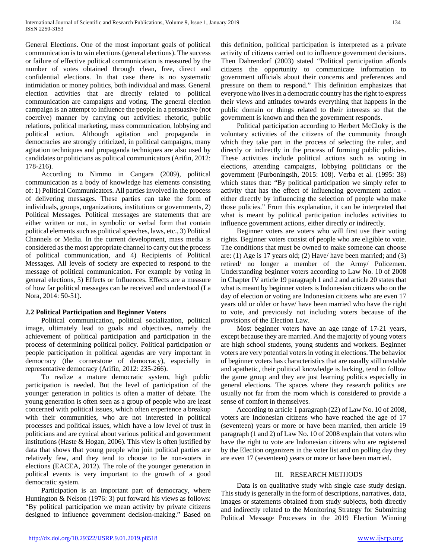General Elections. One of the most important goals of political communication is to win elections (general elections). The success or failure of effective political communication is measured by the number of votes obtained through clean, free, direct and confidential elections. In that case there is no systematic intimidation or money politics, both individual and mass. General election activities that are directly related to political communication are campaigns and voting. The general election campaign is an attempt to influence the people in a persuasive (not coercive) manner by carrying out activities: rhetoric, public relations, political marketing, mass communication, lobbying and political action. Although agitation and propaganda in democracies are strongly criticized, in political campaigns, many agitation techniques and propaganda techniques are also used by candidates or politicians as political communicators (Arifin, 2012: 178-216).

 According to Nimmo in Cangara (2009), political communication as a body of knowledge has elements consisting of: 1) Political Communicators. All parties involved in the process of delivering messages. These parties can take the form of individuals, groups, organizations, institutions or governments, 2) Political Messages. Political messages are statements that are either written or not, in symbolic or verbal form that contain political elements such as political speeches, laws, etc., 3) Political Channels or Media. In the current development, mass media is considered as the most appropriate channel to carry out the process of political communication, and 4) Recipients of Political Messages. All levels of society are expected to respond to the message of political communication. For example by voting in general elections, 5) Effects or Influences. Effects are a measure of how far political messages can be received and understood (La Nora, 2014: 50-51).

## **2.2 Political Participation and Beginner Voters**

 Political communication, political socialization, political image, ultimately lead to goals and objectives, namely the achievement of political participation and participation in the process of determining political policy. Political participation or people participation in political agendas are very important in democracy (the cornerstone of democracy), especially in representative democracy (Arifin, 2012: 235-266).

 To realize a mature democratic system, high public participation is needed. But the level of participation of the younger generation in politics is often a matter of debate. The young generation is often seen as a group of people who are least concerned with political issues, which often experience a breakup with their communities, who are not interested in political processes and political issues, which have a low level of trust in politicians and are cynical about various political and government institutions (Haste & Hogan, 2006). This view is often justified by data that shows that young people who join political parties are relatively few, and they tend to choose to be non-voters in elections (EACEA, 2012). The role of the younger generation in political events is very important to the growth of a good democratic system.

 Participation is an important part of democracy, where Huntington & Nelson (1976: 3) put forward his views as follows: "By political participation we mean activity by private citizens designed to influence government decision-making." Based on this definition, political participation is interpreted as a private activity of citizens carried out to influence government decisions. Then Dahrendorf (2003) stated "Political participation affords citizens the opportunity to communicate information to government officials about their concerns and preferences and pressure on them to respond." This definition emphasizes that everyone who lives in a democratic country has the right to express their views and attitudes towards everything that happens in the public domain or things related to their interests so that the government is known and then the government responds.

 Political participation according to Herbert McCloky is the voluntary activities of the citizens of the community through which they take part in the process of selecting the ruler, and directly or indirectly in the process of forming public policies. These activities include political actions such as voting in elections, attending campaigns, lobbying politicians or the government (Purboningsih, 2015: 108). Verba et al. (1995: 38) which states that: "By political participation we simply refer to activity that has the effect of influencing government action either directly by influencing the selection of people who make those policies." From this explanation, it can be interpreted that what is meant by political participation includes activities to influence government actions, either directly or indirectly.

 Beginner voters are voters who will first use their voting rights. Beginner voters consist of people who are eligible to vote. The conditions that must be owned to make someone can choose are: (1) Age is 17 years old; (2) Have/ have been married; and (3) retired/ no longer a member of the Army/ Policemen. Understanding beginner voters according to Law No. 10 of 2008 in Chapter IV article 19 paragraph 1 and 2 and article 20 states that what is meant by beginner voters is Indonesian citizens who on the day of election or voting are Indonesian citizens who are even 17 years old or older or have/ have been married who have the right to vote, and previously not including voters because of the provisions of the Election Law.

 Most beginner voters have an age range of 17-21 years, except because they are married. And the majority of young voters are high school students, young students and workers. Beginner voters are very potential voters in voting in elections. The behavior of beginner voters has characteristics that are usually still unstable and apathetic, their political knowledge is lacking, tend to follow the game group and they are just learning politics especially in general elections. The spaces where they research politics are usually not far from the room which is considered to provide a sense of comfort in themselves.

 According to article 1 paragraph (22) of Law No. 10 of 2008, voters are Indonesian citizens who have reached the age of 17 (seventeen) years or more or have been married, then article 19 paragraph (1 and 2) of Law No. 10 of 2008 explain that voters who have the right to vote are Indonesian citizens who are registered by the Election organizers in the voter list and on polling day they are even 17 (seventeen) years or more or have been married.

## III. RESEARCH METHODS

 Data is on qualitative study with single case study design. This study is generally in the form of descriptions, narratives, data, images or statements obtained from study subjects, both directly and indirectly related to the Monitoring Strategy for Submitting Political Message Processes in the 2019 Election Winning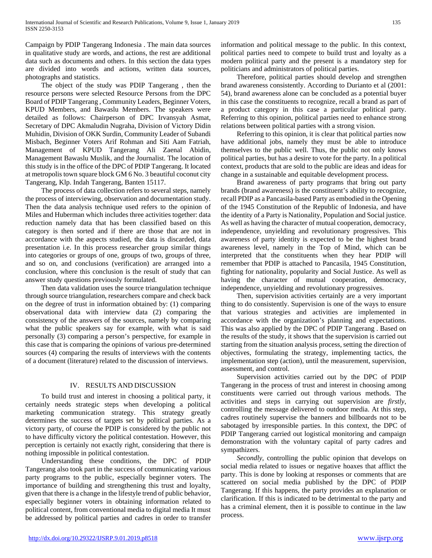Campaign by PDIP Tangerang Indonesia . The main data sources in qualitative study are words, and actions, the rest are additional data such as documents and others. In this section the data types are divided into words and actions, written data sources, photographs and statistics.

 The object of the study was PDIP Tangerang , then the resource persons were selected Resource Persons from the DPC Board of PDIP Tangerang , Community Leaders, Beginner Voters, KPUD Members, and Bawaslu Members. The speakers were detailed as follows: Chairperson of DPC Irvansyah Asmat, Secretary of DPC Akmaludin Nugraha, Division of Victory Didin Muhidin, Division of OKK Surdin, Community Leader of Subandi Misbach, Beginner Voters Arif Rohman and Siti Aam Fatriah, Management of KPUD Tangerang Ali Zaenal Abidin, Management Bawaslu Muslik, and the Journalist. The location of this study is in the office of the DPC of PDIP Tangerang. It located at metropolis town square block GM 6 No. 3 beautiful coconut city Tangerang, Klp. Indah Tangerang, Banten 15117.

 The process of data collection refers to several steps, namely the process of interviewing, observation and documentation study. Then the data analysis technique used refers to the opinion of Miles and Huberman which includes three activities together: data reduction namely data that has been classified based on this category is then sorted and if there are those that are not in accordance with the aspects studied, the data is discarded, data presentation i.e. In this process researcher group similar things into categories or groups of one, groups of two, groups of three, and so on, and conclusions (verification) are arranged into a conclusion, where this conclusion is the result of study that can answer study questions previously formulated.

 Then data validation uses the source triangulation technique through source triangulation, researchers compare and check back on the degree of trust in information obtained by: (1) comparing observational data with interview data (2) comparing the consistency of the answers of the sources, namely by comparing what the public speakers say for example, with what is said personally (3) comparing a person's perspective, for example in this case that is comparing the opinions of various pre-determined sources (4) comparing the results of interviews with the contents of a document (literature) related to the discussion of interviews.

## IV. RESULTS AND DISCUSSION

 To build trust and interest in choosing a political party, it certainly needs strategic steps when developing a political marketing communication strategy. This strategy greatly determines the success of targets set by political parties. As a victory party, of course the PDIP is considered by the public not to have difficulty victory the political contestation. However, this perception is certainly not exactly right, considering that there is nothing impossible in political contestation.

 Understanding these conditions, the DPC of PDIP Tangerang also took part in the success of communicating various party programs to the public, especially beginner voters. The importance of building and strengthening this trust and loyalty, given that there is a change in the lifestyle trend of public behavior, especially beginner voters in obtaining information related to political content, from conventional media to digital media It must be addressed by political parties and cadres in order to transfer

information and political message to the public. In this context, political parties need to compete to build trust and loyalty as a modern political party and the present is a mandatory step for politicians and administrators of political parties.

 Therefore, political parties should develop and strengthen brand awareness consistently. According to Durianto et al (2001: 54), brand awareness alone can be concluded as a potential buyer in this case the constituents to recognize, recall a brand as part of a product category in this case a particular political party. Referring to this opinion, political parties need to enhance strong relations between political parties with a strong vision.

 Referring to this opinion, it is clear that political parties now have additional jobs, namely they must be able to introduce themselves to the public well. Thus, the public not only knows political parties, but has a desire to vote for the party. In a political context, products that are sold to the public are ideas and ideas for change in a sustainable and equitable development process.

 Brand awareness of party programs that bring out party brands (brand awareness) is the constituent's ability to recognize, recall PDIP as a Pancasila-based Party as embodied in the Opening of the 1945 Constitution of the Republic of Indonesia, and have the identity of a Party is Nationality, Population and Social justice. As well as having the character of mutual cooperation, democracy, independence, unyielding and revolutionary progressives. This awareness of party identity is expected to be the highest brand awareness level, namely in the Top of Mind, which can be interpreted that the constituents when they hear PDIP will remember that PDIP is attached to Pancasila, 1945 Constitution, fighting for nationality, popularity and Social Justice. As well as having the character of mutual cooperation, democracy, independence, unyielding and revolutionary progressives.

 Then, supervision activities certainly are a very important thing to do consistently. Supervision is one of the ways to ensure that various strategies and activities are implemented in accordance with the organization's planning and expectations. This was also applied by the DPC of PDIP Tangerang . Based on the results of the study, it shows that the supervision is carried out starting from the situation analysis process, setting the direction of objectives, formulating the strategy, implementing tactics, the implementation step (action), until the measurement, supervision, assessment, and control.

 Supervision activities carried out by the DPC of PDIP Tangerang in the process of trust and interest in choosing among constituents were carried out through various methods. The activities and steps in carrying out supervision are *firstly*, controlling the message delivered to outdoor media. At this step, cadres routinely supervise the banners and billboards not to be sabotaged by irresponsible parties. In this context, the DPC of PDIP Tangerang carried out logistical monitoring and campaign demonstration with the voluntary capital of party cadres and sympathizers.

 *Secondly*, controlling the public opinion that develops on social media related to issues or negative hoaxes that afflict the party. This is done by looking at responses or comments that are scattered on social media published by the DPC of PDIP Tangerang. If this happens, the party provides an explanation or clarification. If this is indicated to be detrimental to the party and has a criminal element, then it is possible to continue in the law process.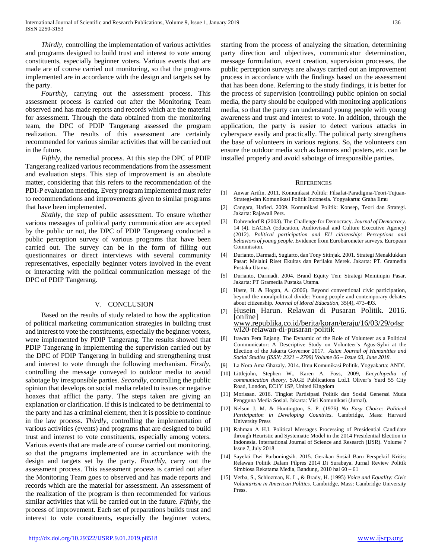*Thirdly*, controlling the implementation of various activities and programs designed to build trust and interest to vote among constituents, especially beginner voters. Various events that are made are of course carried out monitoring, so that the programs implemented are in accordance with the design and targets set by the party.

 *Fourthly*, carrying out the assessment process. This assessment process is carried out after the Monitoring Team observed and has made reports and records which are the material for assessment. Through the data obtained from the monitoring team, the DPC of PDIP Tangerang assessed the program realization. The results of this assessment are certainly recommended for various similar activities that will be carried out in the future.

 *Fifthly*, the remedial process. At this step the DPC of PDIP Tangerang realized various recommendations from the assessment and evaluation steps. This step of improvement is an absolute matter, considering that this refers to the recommendation of the PDI-P evaluation meeting. Every program implemented must refer to recommendations and improvements given to similar programs that have been implemented.

 *Sixthly*, the step of public assessment. To ensure whether various messages of political party communication are accepted by the public or not, the DPC of PDIP Tangerang conducted a public perception survey of various programs that have been carried out. The survey can be in the form of filling out questionnaires or direct interviews with several community representatives, especially beginner voters involved in the event or interacting with the political communication message of the DPC of PDIP Tangerang.

#### V. CONCLUSION

 Based on the results of study related to how the application of political marketing communication strategies in building trust and interest to vote the constituents, especially the beginner voters, were implemented by PDIP Tangerang. The results showed that PDIP Tangerang in implementing the supervision carried out by the DPC of PDIP Tangerang in building and strengthening trust and interest to vote through the following mechanism. *Firstly*, controlling the message conveyed to outdoor media to avoid sabotage by irresponsible parties. *Secondly*, controlling the public opinion that develops on social media related to issues or negative hoaxes that afflict the party. The steps taken are giving an explanation or clarification. If this is indicated to be detrimental to the party and has a criminal element, then it is possible to continue in the law process. *Thirdly*, controlling the implementation of various activities (events) and programs that are designed to build trust and interest to vote constituents, especially among voters. Various events that are made are of course carried out monitoring, so that the programs implemented are in accordance with the design and targets set by the party. *Fourthly*, carry out the assessment process. This assessment process is carried out after the Monitoring Team goes to observed and has made reports and records which are the material for assessment. An assessment of the realization of the program is then recommended for various similar activities that will be carried out in the future. *Fifthly*, the process of improvement. Each set of preparations builds trust and interest to vote constituents, especially the beginner voters,

starting from the process of analyzing the situation, determining party direction and objectives, communicator determination, message formulation, event creation, supervision processes, the public perception surveys are always carried out an improvement process in accordance with the findings based on the assessment that has been done. Referring to the study findings, it is better for the process of supervision (controlling) public opinion on social media, the party should be equipped with monitoring applications media, so that the party can understand young people with young awareness and trust and interest to vote. In addition, through the application, the party is easier to detect various attacks in cyberspace easily and practically. The political party strengthens the base of volunteers in various regions. So, the volunteers can ensure the outdoor media such as banners and posters, etc. can be installed properly and avoid sabotage of irresponsible parties.

#### **REFERENCES**

- [1] Anwar Arifin. 2011. Komunikasi Politik: Filsafat-Paradigma-Teori-Tujuan-Strategi-dan Komunikasi Politik Indonesia. Yogyakarta: Graha Ilmu
- [2] Cangara, Hafied. 2009. Komunikasi Politik: Konsep, Teori dan Strategi. Jakarta: Rajawali Pers.
- [3] Dahrendorf R (2003). The Challenge for Democracy. *Journal of Democracy*. 14 (4). EACEA (Education, Audiovisual and Culture Executive Agency) (2012). *Political participation and EU citizenship: Perceptions and behaviors of young people.* Evidence from Eurobarometer surveys*.* European Commission.
- [4] Durianto, Darmadi, Sugiarto, dan Tony Sitinjak. 2001. Strategi Menaklukkan Pasar: Melalui Riset Ekuitas dan Perilaku Merek. Jakarta: PT. Gramedia Pustaka Utama.
- [5] Durianto, Darmadi. 2004. Brand Equity Ten: Strategi Memimpin Pasar. Jakarta: PT Gramedia Pustaka Utama.
- [6] Haste, H. & Hogan, A. (2006). Beyond conventional civic participation, beyond the moralpolitical divide: Young people and contemporary debates about citizenship. *Journal of Moral Education*, 35(4), 473-493.
- [7] Husein Harun. Relawan di Pusaran Politik. 2016. [online] [www.republika.co.id/berita/koran/teraju/16/03/29/o4sr](http://www.republika.co.id/berita/koran/teraju/16/03/29/o4srwl20-relawan-di-pusaran-politik) [wl20-relawan-di-pusaran-politik](http://www.republika.co.id/berita/koran/teraju/16/03/29/o4srwl20-relawan-di-pusaran-politik)
- [8] Irawan Pera Enjang. The Dynamic of the Role of Volunteer as a Political Communicator: A Descriptive Study on Volunteer's Agus-Sylvi at the Election of the Jakarta Governor 2017. *Asian Journal of Humanities and Social Studies (ISSN: 2321 – 2799) Volume 06 – Issue 03, June 2018.*
- [9] La Nora Ama Ghazaly. 2014. Ilmu Komunikasi Politik. Yogyakarta: ANDI.
- [10] Littlejohn, Stephen W., Karen A. Foss, 2009, *Encyclopedia of communication theory*, SAGE Publications Ltd.1 Oliver's Yard 55 City Road, London, EC1Y 1SP, United Kingdom
- [11] Morissan. 2016. Tingkat Partisipasi Politik dan Sosial Generasi Muda Pengguna Media Sosial. Jakarta: Visi Komunikasi (Jurnal).
- [12] Nelson J. M. & Huntington, S. P. (1976*) No Easy Choice: Political Participation in Developing Countries*. Cambridge, Mass: Harvard University Press
- [13] Rahman A H.I. Political Messages Processing of Presidential Candidate through Heuristic and Systematic Model in the 2014 Presidential Election in Indonesia. International Journal of Science and Research (IJSR). Volume 7 Issue 7, July 2018
- [14] Sayekti Dwi Purboningsih. 2015. Gerakan Sosial Baru Perspektif Kritis: Relawan Politik Dalam Pilpres 2014 Di Surabaya. Jurnal Review Politik Simbiosa Rekatama Media, Bandung, 2010 hal 60 – 61
- [15] Verba, S., Schlozman, K. L., & Brady, H. (1995) *Voice and Equality: Civic Voluntarism in American Politics*. Cambridge, Mass: Cambridge University Press.